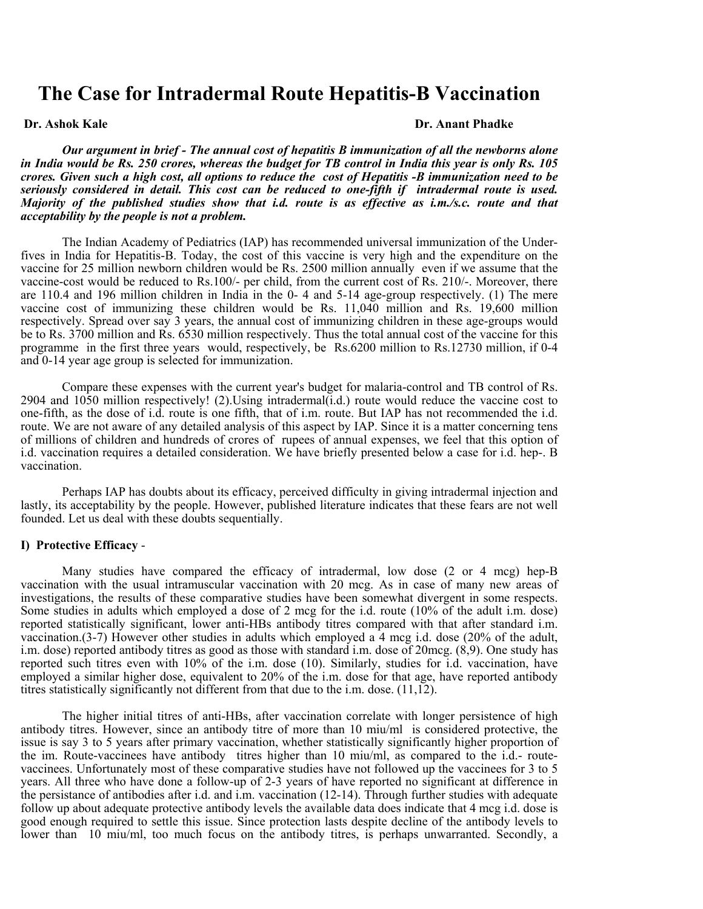# **The Case for Intradermal Route Hepatitis-B Vaccination**

#### **Dr. Ashok Kale Dr. Anant Phadke**

 *Our argument in brief - The annual cost of hepatitis B immunization of all the newborns alone in India would be Rs. 250 crores, whereas the budget for TB control in India this year is only Rs. 105 crores. Given such a high cost, all options to reduce the cost of Hepatitis -B immunization need to be seriously considered in detail. This cost can be reduced to one-fifth if intradermal route is used. Majority of the published studies show that i.d. route is as effective as i.m./s.c. route and that acceptability by the people is not a problem.* 

 The Indian Academy of Pediatrics (IAP) has recommended universal immunization of the Underfives in India for Hepatitis-B. Today, the cost of this vaccine is very high and the expenditure on the vaccine for 25 million newborn children would be Rs. 2500 million annually even if we assume that the vaccine-cost would be reduced to Rs.100/- per child, from the current cost of Rs. 210/-. Moreover, there are 110.4 and 196 million children in India in the 0- 4 and 5-14 age-group respectively. (1) The mere vaccine cost of immunizing these children would be Rs. 11,040 million and Rs. 19,600 million respectively. Spread over say 3 years, the annual cost of immunizing children in these age-groups would be to Rs. 3700 million and Rs. 6530 million respectively. Thus the total annual cost of the vaccine for this programme in the first three years would, respectively, be Rs.6200 million to Rs.12730 million, if 0-4 and 0-14 year age group is selected for immunization.

 Compare these expenses with the current year's budget for malaria-control and TB control of Rs. 2904 and 1050 million respectively! (2).Using intradermal(i.d.) route would reduce the vaccine cost to one-fifth, as the dose of i.d. route is one fifth, that of i.m. route. But IAP has not recommended the i.d. route. We are not aware of any detailed analysis of this aspect by IAP. Since it is a matter concerning tens of millions of children and hundreds of crores of rupees of annual expenses, we feel that this option of i.d. vaccination requires a detailed consideration. We have briefly presented below a case for i.d. hep-. B vaccination.

 Perhaps IAP has doubts about its efficacy, perceived difficulty in giving intradermal injection and lastly, its acceptability by the people. However, published literature indicates that these fears are not well founded. Let us deal with these doubts sequentially.

## **I) Protective Efficacy** -

 Many studies have compared the efficacy of intradermal, low dose (2 or 4 mcg) hep-B vaccination with the usual intramuscular vaccination with 20 mcg. As in case of many new areas of investigations, the results of these comparative studies have been somewhat divergent in some respects. Some studies in adults which employed a dose of 2 mcg for the i.d. route (10% of the adult i.m. dose) reported statistically significant, lower anti-HBs antibody titres compared with that after standard i.m. vaccination.(3-7) However other studies in adults which employed a 4 mcg i.d. dose (20% of the adult, i.m. dose) reported antibody titres as good as those with standard i.m. dose of 20mcg. (8,9). One study has reported such titres even with 10% of the i.m. dose (10). Similarly, studies for i.d. vaccination, have employed a similar higher dose, equivalent to 20% of the i.m. dose for that age, have reported antibody titres statistically significantly not different from that due to the i.m. dose. (11,12).

 The higher initial titres of anti-HBs, after vaccination correlate with longer persistence of high antibody titres. However, since an antibody titre of more than 10 miu/ml is considered protective, the issue is say 3 to 5 years after primary vaccination, whether statistically significantly higher proportion of the im. Route-vaccinees have antibody titres higher than 10 miu/ml, as compared to the i.d.- routevaccinees. Unfortunately most of these comparative studies have not followed up the vaccinees for 3 to 5 years. All three who have done a follow-up of 2-3 years of have reported no significant at difference in the persistance of antibodies after i.d. and i.m. vaccination (12-14). Through further studies with adequate follow up about adequate protective antibody levels the available data does indicate that 4 mcg i.d. dose is good enough required to settle this issue. Since protection lasts despite decline of the antibody levels to lower than 10 miu/ml, too much focus on the antibody titres, is perhaps unwarranted. Secondly, a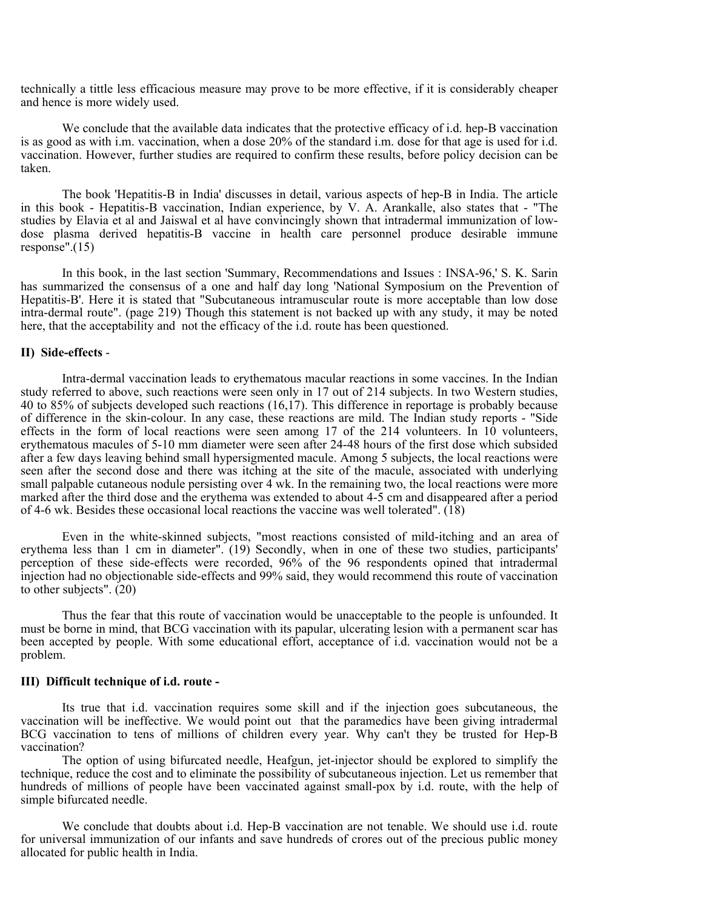technically a tittle less efficacious measure may prove to be more effective, if it is considerably cheaper and hence is more widely used.

We conclude that the available data indicates that the protective efficacy of i.d. hep-B vaccination is as good as with i.m. vaccination, when a dose 20% of the standard i.m. dose for that age is used for i.d. vaccination. However, further studies are required to confirm these results, before policy decision can be taken.

 The book 'Hepatitis-B in India' discusses in detail, various aspects of hep-B in India. The article in this book - Hepatitis-B vaccination, Indian experience, by V. A. Arankalle, also states that - "The studies by Elavia et al and Jaiswal et al have convincingly shown that intradermal immunization of lowdose plasma derived hepatitis-B vaccine in health care personnel produce desirable immune response".(15)

 In this book, in the last section 'Summary, Recommendations and Issues : INSA-96,' S. K. Sarin has summarized the consensus of a one and half day long 'National Symposium on the Prevention of Hepatitis-B'. Here it is stated that "Subcutaneous intramuscular route is more acceptable than low dose intra-dermal route". (page 219) Though this statement is not backed up with any study, it may be noted here, that the acceptability and not the efficacy of the i.d. route has been questioned.

## **II) Side-effects** -

 Intra-dermal vaccination leads to erythematous macular reactions in some vaccines. In the Indian study referred to above, such reactions were seen only in 17 out of 214 subjects. In two Western studies, 40 to 85% of subjects developed such reactions (16,17). This difference in reportage is probably because of difference in the skin-colour. In any case, these reactions are mild. The Indian study reports - "Side effects in the form of local reactions were seen among 17 of the 214 volunteers. In 10 volunteers, erythematous macules of 5-10 mm diameter were seen after 24-48 hours of the first dose which subsided after a few days leaving behind small hypersigmented macule. Among 5 subjects, the local reactions were seen after the second dose and there was itching at the site of the macule, associated with underlying small palpable cutaneous nodule persisting over 4 wk. In the remaining two, the local reactions were more marked after the third dose and the erythema was extended to about 4-5 cm and disappeared after a period of 4-6 wk. Besides these occasional local reactions the vaccine was well tolerated". (18)

 Even in the white-skinned subjects, "most reactions consisted of mild-itching and an area of erythema less than 1 cm in diameter". (19) Secondly, when in one of these two studies, participants' perception of these side-effects were recorded, 96% of the 96 respondents opined that intradermal injection had no objectionable side-effects and 99% said, they would recommend this route of vaccination to other subjects". (20)

 Thus the fear that this route of vaccination would be unacceptable to the people is unfounded. It must be borne in mind, that BCG vaccination with its papular, ulcerating lesion with a permanent scar has been accepted by people. With some educational effort, acceptance of i.d. vaccination would not be a problem.

## **III) Difficult technique of i.d. route -**

 Its true that i.d. vaccination requires some skill and if the injection goes subcutaneous, the vaccination will be ineffective. We would point out that the paramedics have been giving intradermal BCG vaccination to tens of millions of children every year. Why can't they be trusted for Hep-B vaccination?

 The option of using bifurcated needle, Heafgun, jet-injector should be explored to simplify the technique, reduce the cost and to eliminate the possibility of subcutaneous injection. Let us remember that hundreds of millions of people have been vaccinated against small-pox by i.d. route, with the help of simple bifurcated needle.

 We conclude that doubts about i.d. Hep-B vaccination are not tenable. We should use i.d. route for universal immunization of our infants and save hundreds of crores out of the precious public money allocated for public health in India.